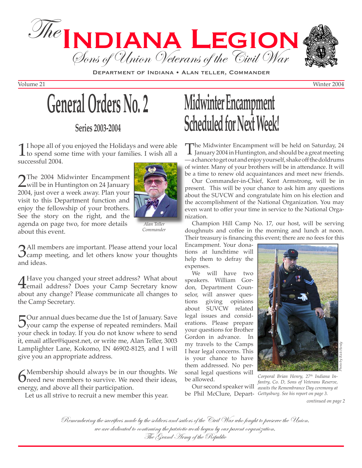

DEPARTMENT OF INDIANA . ALAN TELLER, COMMANDER

Volume 21 Winter 2004



**Series 2003-2004**

1 I hope all of you enjoyed the Holidays and were able<br>to spend some time with your families. I wish all a<br>successful 2004 successful 2004.

2The 2004 Midwinter Encampment<br>will be in Huntington on 24 January<br>2004 just over a wook away Plan your 2004, just over a week away. Plan your visit to this Department function and enjoy the fellowship of your brothers. See the story on the right, and the agenda on page two, for more details about this event.



*Alan Teller Commander*

**3**All members are important. Please attend your local camp meeting, and let others know your thoughts and ideas.

A Have you changed your street address? What about<br>
email address? Does your Camp Secretary know<br>
about any change? Plasse communicate all changes to about any change? Please communicate all changes to the Camp Secretary.

Sour annual dues became due the 1st of January. Save<br>your camp the expense of repeated reminders. Mail your check in today. If you do not know where to send it, email atller@iquest.net, or write me, Alan Teller, 3003 Lamplighter Lane, Kokomo, IN 46902-8125, and I will give you an appropriate address.

 $\bigcirc$  Membership should always be in our thoughts. We need new members to survive. We need their ideas, approximation energy, and above all their participation.

Let us all strive to recruit a new member this year.

# **Midwinter Encampment Scheduled for Next Week!**

The Midwinter Encampment will be held on Saturday, 24<br>January 2004 in Huntington, and should be a great meeting<br>ashangeto act out and onious usual fished of the doldrums — a chance to get out and enjoy yourself, shake off the doldrums of winter. Many of your brothers will be in attendance. It will be a time to renew old acquaintances and meet new friends.

Our Commander-in-Chief, Kent Armstrong, will be in present. This will be your chance to ask him any questions about the SUVCW and congratulate him on his election and the accomplishment of the National Organization. You may even want to offer your time in service to the National Organization.

Champion Hill Camp No. 17, our host, will be serving doughnuts and coffee in the morning and lunch at noon. Their treasury is financing this event; there are no fees for this

Encampment. Your donations at lunchtime will help them to defray the expenses.

We will have two speakers. William Gordon, Department Counselor, will answer ques-<br>tions giving opinions tions giving opinions about SUVCW related legal issues and considerations. Please prepare your questions for Brother Gordon in advance. In my travels to the Camps I hear legal concerns. This is your chance to have them addressed. No personal legal questions will be allowed.



*Corporal Brian Henry, 27th Indiana In-*

Remembering the sacrifices made by the soldiers and sailors of the Civil War who fought to preserve the Union, we are dedicated to continuing the patriotic work begun by our parent organization,<br>The Grand Army of the Republic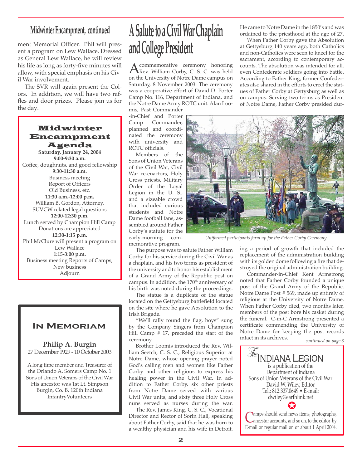### **Midwinter Encampment, continued**

ment Memorial Officer. Phil will present a program on Lew Wallace. Dressed as General Lew Wallace, he will review his life as long as forty-five minutes will allow, with special emphasis on his Civil War involvement.

The SVR will again present the Colors. In addition, we will have two raffles and door prizes. Please join us for the day.

### Midwinter Encampment Agenda

**Saturday, January 24, 2004 9:00-9:30 a.m.** Coffee, doughnuts, and good fellowship **9:30-11:30 a.m.** Business meeting Report of Officers Old Business, etc. **11:30 a.m.-12:00 p.m.**  William B. Gordon, Attorney. SUVCW related legal questions **12:00-12:30 p.m.** Lunch served by Champion Hill Camp Donations are appreciated **12:30-1:15 p.m.** Phil McClure will present a program on Lew Wallace **1:15-3:00 p.m.**  Business meeting Reports of Camps, New business Adjourn

### **In Memoriam**

**Philip A. Burgin** 27 December 1929 - 10 October 2003

A long time member and Treasurer of the Orlando A. Somers Camp No. 1 Sons of Union Veterans of the Civil War His ancestor was 1st Lt. Simpson Burgin, Co. B, 120th Indiana InfantryVolunteers

# **A Salute to a Civil War Chaplain and College President**

A commemorative ceremony honoring<br>
Rev. William Corby, C. S. C. was held<br>
on the University of Notre Dame campus on on the University of Notre Dame campus on Saturday, 8 November 2003. The ceremony was a cooperative effort of David D. Porter Camp No. 116, Department of Indiana, and the Notre Dame Army ROTC unit. Alan Loomis, Past Commander

-in-Chief and Porter Commander, planned and coordinated the ceremony with university and ROTC officials.

Members of the Sons of Union Veterans of the Civil War, Civil War re-enactors, Holy Cross priests, Military Order of the Loyal Legion in the U. S., and a sizeable crowd that included curious students and Notre Dame football fans, assembled around Father Corby's statute for the early-morning memorative program.

The purpose was to salute Father William Corby for his service during the Civil War as a chaplain, and his two terms as president of the university and to honor his establishment of a Grand Army of the Republic post on campus. In addition, the 170<sup>th</sup> anniversary of his birth was noted during the proceedings.

The statue is a duplicate of the statue located on the Gettysburg battlefield located on the site where he gave Absolution to the Irish Brigade.

"We'll rally round the flag, boys" sung by the Company Singers from Champion Hill Camp  $# 17$ , preceded the start of the ceremony.

Brother Loomis introduced the Rev. William Seetch, C. S. C., Religious Superior at Notre Dame, whose opening prayer noted God's calling men and women like Father Corby and other religious to express his healing power in the Civil War. In addition to Father Corby, six other priests from Notre Dame served with various Civil War units, and sixty three Holy Cross nuns served as nurses during the war.

The Rev. James King, C. S. C., Vocational Director and Rector of Sorin Hall, speaking about Father Corby, said that he was born to a wealthy physician and his wife in Detroit. He came to Notre Dame in the 1850's and was ordained to the priesthood at the age of 27.

When Father Corby gave the Absolution at Gettysburg 140 years ago, both Catholics and non-Catholics were seen to kneel for the sacrament, according to contemporary accounts. The absolution was intended for all, even Confederate soldiers going into battle. According to Father King, former Confederates also shared in the efforts to erect the statues of Father Corby at Gettysburg as well as on campus. Serving two terms as President of Notre Dame, Father Corby presided dur-



*Uniformed participants form up for the Father Corby Ceremony*

ing a period of growth that included the replacement of the administration building with its golden dome following a fire that destroyed the original administration building.

Commander-in-Chief Kent Armstrong noted that Father Corby founded a unique post of the Grand Army of the Republic, Notre Dame Post # 569, made up entirely of religious at the University of Notre Dame. When Father Corby died, two months later, members of the post bore his casket during the funeral. C-in-C Armstrong presented a certificate commending the University of Notre Dame for keeping the post records intact in its archives.

*continued on page 3*

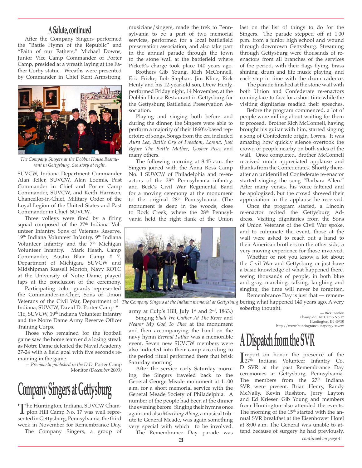### **A Salute, continued**

After the Company Singers performed the "Battle Hymn of the Republic" and "Faith of our Fathers," Michael Downs, Junior Vice Camp Commander of Porter Camp, presided at a wreath laying at the Father Corby statue. Wreaths were presented by Commander in Chief Kent Armstrong,



*The Company Singers at the Dobbin House Restaurant in Gettysburg. See story at right.*

SUVCW, Indiana Department Commander Alan Teller, SUVCW, Alan Loomis, Past Commander in Chief and Porter Camp Commander, SUVCW, and Keith Harrison, Chancellor-in-Chief, Military Order of the Loyal Legion of the United States and Past Commander in Chief, SUVCW.

Three volleys were fired by a firing squad composed of the 27<sup>th</sup> Indiana Volunteer Infantry, Sons of Veterans Reserve, 19<sup>th</sup> Indiana Volunteer Infantry, 9<sup>th</sup> Indiana Volunteer Infantry and the 7<sup>th</sup> Michigan Volunteer Infantry. Mark Heath, Camp Commander, Austin Blair Camp # 7, Department of Michigan, SUVCW and Midshipman Russell Morton, Navy ROTC at the University of Notre Dame, played taps at the conclusion of the ceremony.

Participating color guards represented the Commander-in-Chief, Sons of Union

Indiana, SUVCW, David D. Porter Camp # 116, SUVCW, 19<sup>th</sup> Indiana Volunteer Infantry and the Notre Dame Army Reserve Officer Training Corps.

Those who remained for the football game saw the home team end a losing streak as Notre Dame defeated the Naval Academy 27-24 with a field goal with five seconds remaining in the game.

*— Previously published in the D.D.* Porter Camp Monitor *(December 2003)*

# **Company Singers at Gettysburg**

The Huntington, Indiana, SUVCW Cham-<br>pion Hill Camp No. 17 was well repre-<br>conted in Cettychure, Pennovlyppia, the third sented in Gettysburg, Pennsylvania, the third week in November for Remembrance Day.

The Company Singers, a group of

musicians/singers, made the trek to Pennsylvania to be a part of two memorial services, performed for a local battlefield preservation association, and also take part in the annual parade through the town to the stone wall at the battlefield where Pickett's charge took place 140 years ago.

Brothers Gib Young, Rich McConnell, Eric Fricke, Bob Stephan, Jim Kline, Rick Henly and his 12-year-old son, Drew Henly, performed Friday night, 14 November, at the Dobbin House Restaurant in Gettysburg for the Gettysburg Battlefield Preservation Association.

Playing and singing both before and during the dinner, the Singers were able to perform a majority of their 1860's-based repertoire of songs. Songs from the era included *Aura Lea*, *Battle Cry of Freedom*, *Lorena*, *Just Before The Battle Mother*, *Goober Peas* and many others.

The following morning at 8:45 a.m. the Singers joined with the Anna Ross Camp No. 1 SUVCW of Philadelphia and re-enactors of the 28th Pennsylvania infantry, and Beck's Civil War Regimental Band for a moving ceremony at the monument to the original 28<sup>th</sup> Pennsylvania. (The monument is deep in the woods, close to Rock Creek, where the 28<sup>th</sup> Pennsylvania held the right flank of the Union



army at Culp's Hill, July 1<sup>st</sup> and 2<sup>nd</sup>, 1863.)

Singing *Shall We Gather At The River* and *Nearer My God To Thee* at the monument and then accompanying the band on the navy hymn *Eternal Father* was a memorable event. Seven new SUVCW members were also inducted into their camp according to the period ritual performed there that brisk Saturday morning

After the service early Saturday morning, the Singers traveled back to the General George Meade monument at 11:00 a.m. for a short memorial service with the General Meade Society of Philadelphia. A number of the people had been at the dinner the evening before. Singing their hymns once again and also *Marching Along*, a musical tribute to General Meade, was again something very special with which to be involved. The Remembrance Day parade was

last on the list of things to do for the Singers. The parade stepped off at 1:00 p.m. from a junior high school and wound through downtown Gettysburg. Streaming through Gettysburg were thousands of reenactors from all branches of the services of the period, with their flags flying, brass shining, drum and fife music playing, and each step in time with the drum cadence.

The parade finished at the stone wall with both Union and Confederate re-enactors coming face-to-face for a short time while the visiting dignitaries readied their speeches.

Before the program commenced, a lot of people were milling about waiting for them to proceed. Brother Rich McConnell, having brought his guitar with him, started singing a song of Confederate origin, *Lorena*. It was amazing how quickly silence overtook the crowd of people nearby on both sides of the wall. Once completed, Brother McConnell received much appreciated applause and thanks from the Confederates. Shortly thereafter an unidentified Confederate re-enactor started singing the song "Barbara Allen." After many verses, his voice faltered and he apologized, but the crowd showed their appreciation in the applause he received.

Once the program started, a Lincoln re-enactor recited the Gettysburg Address. Visiting dignitaries from the Sons of Union Veterans of the Civil War spoke, and to culminate the event, those at the wall were asked to reach out a hand to their American brothers on the other side, a very moving experience for those involved.

Whether or not you know a lot about the Civil War and Gettysburg or just have a basic knowledge of what happened there, seeing thousands of people, in both blue and gray, marching, talking, laughing and singing, the time will never be forgotten.

Veterans of the Civil War, Department of *The Company Singers at the Indiana memorial at Gettysburg* bering what happened 140 years ago. A very Remembrance Day is just that — rememsobering thought.

— Rick Henley Champion Hill Camp No.17 Huntington, IN 46750 http://www.huntingtoncounty.org/suvcw

# **A Dispatch from the SVR**

Treport on honor the presence of the  $27<sup>th</sup>$  Indiana Volunteer Infantry Co. D SVR at the past Remembrance Day ceremonies at Gettysburg, Pennsylvania. The members from the  $27<sup>th</sup>$  Indiana SVR were present. Brian Henry, Randy McNally, Kevin Rushton, Jerry Layton and Ed Krieser. Gib Young and members from Huntington also attended the events. The morning of the 15<sup>th</sup> started with the annual SVR breakfast at the Eisenhower Hotel at 8:00 a.m. The General was unable to attend because of surgery he had previously.

*continued on page 4*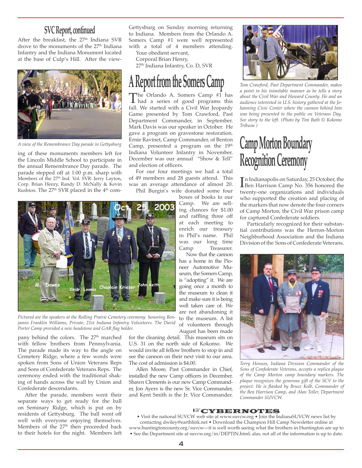After the breakfast, the 27<sup>th</sup> Indiana SVR drove to the monuments of the 27<sup>th</sup> Indiana Infantry and the Indiana Monument located at the base of Culp's Hill. After the view-



*A view of the Remembrance Day parade in Gettysburg*

ing of these monuments members left for the Lincoln Middle School to participate in the annual Remembrance Day parade. The parade stepped off at 1:00 p.m. sharp with Members of the 27<sup>th</sup> Ind. Vol. SVR: Jerry Layton, Corp. Brian Henry, Randy D. McNally & Kevin Rushton. The  $27<sup>th</sup>$  SVR placed in the  $4<sup>th</sup>$  com-

**SVC Report, continued** Gettysburg on Sunday morning returning  $\frac{1}{2}$  to Indiana. Members from the Orlando A. Somers Camp #1 were well represented with a total of 4 members attending.

Your obedient servant, Corporal Brian Henry,

27<sup>th</sup> Indiana Infantry, Co. D, SVR

### **A Report from the Somers Camp**

The Orlando A. Somers Camp #1 has<br>had a series of good programs this<br>fall We started with a Civil War Ioppady fall. We started with a Civil War Jeopardy Game presented by Tom Crawford, Past Department Commander, in September. Mark Davis was our speaker in October. He gave a program on gravestone restoration. Ernie Ravinet, Camp Commander, of Benton Camp, presented a program on the 19<sup>th</sup> Indiana Volunteer Infantry in November. December was our annual "Show & Tell" and election of officers.

For our four meetings we had a total of 49 members and 28 guests attend. This was an average attendance of almost 20. Phil Burgin's wife donated some four



*Pictured are the speakers at the Rolling Prairie Cemetery ceremony honoring Benjamin Franklin Williams, Private, 21st Indiana Infantry Volunteers. The David Porter Camp provided a new headstone and GAR flag holder.* 

pany behind the colors. The 27<sup>th</sup> marched with fellow brothers from Pennsylvania. The parade made its way to the angle on Cemetery Ridge, where a few words were spoken from Sons of Union Veterans Reps and Sons of Confederate Veterans Reps. The ceremony ended with the traditional shaking of hands across the wall by Union and Confederate descendants.

After the parade, members went their separate ways to get ready for the ball on Seminary Ridge, which is put on by residents of Gettysburg. The ball went off well with everyone enjoying themselves. Members of the 27<sup>th</sup> then proceeded back to their hotels for the night. Members left boxes of books to our Camp. We are selling chances for \$1.00 and raffling three off at each meeting to enrich our treasury in Phil's name. Phil was our long time Camp Treasurer.

Now that the cannon has a home in the Pioneer Automotive Museum, the Somers Camp, is "adopting" it. We are going once a month to the museum to clean it and make sure it is being well taken care of. We are not abandoning it to the museum. A list of volunteers through August has been made

for the cleaning detail. This museum sits on U.S. 31 on the north side of Kokomo. We would invite all fellow brothers to stop in and see the cannon on their next visit to our area. The cost of admission is \$4.00.

Allen Moore, Past Commander in Chief, installed the new Camp officers in December. Shawn Clements is our new Camp Commander, Jon Ayers is the new Sr. Vice Commander, and Kent Smith is the Jr. Vice Commander.



*Tom Crawford, Past Department Commander, makes a point in his inimitable manner as he tells a story about the Civil War and Howard County. He and an audience interested in U.S. history gathered at the Johanning Civic Center where the cannon behind him was being presented to the public on Veterans Day. See story to the left. (Photo by Tim Bath © Kokomo Tribune )*

# **Camp Morton Boundary Recognition Ceremony**

In Indianapolis on Saturday, 25 October, the<br>Libert Harrison Camp No. 356 honored the<br>twenty one organizations, and individuals Ben Harrison Camp No. 356 honored the twenty-one organizations and individuals who supported the creation and placing of the markers that now denote the four corners of Camp Morton, the Civil War prison camp for captured Confederate soldiers.

Particularly recognized for their substantial contributions was the Herron-Morton Neighborhood Association and the Indiana Division of the Sons of Confederate Veterans.



*Terry Henson, Indiana Division Commander of the Sons of Confederate Veterans, accepts a replica plaque of the Camp Morton camp boundary markers. The plaque recognizes the generous gift of the SCV to the project. He is flanked by Bruce Kolb, Commander of the Ben Harrison Camp, and Alan Teller, Department Commander SUVCW.* 

#### ☞CYBERNOTES

• Visit the national SUVCW web site at www.suvcw.org • Join the IndianaSUVCW news list by contacting dwiley@earthlink.net • Download the Champion Hill Camp Newsletter online at www.huntingtoncounty.org/suvcw—it is well worth seeing what the brothers in Huntington are up to • See the Department site at suvcw.org/in/DEPTIN.html; alas, not all of the information is up to date.

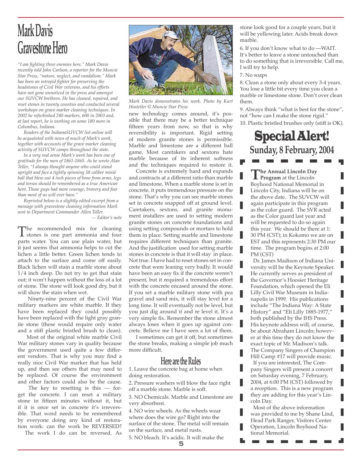### **Mark Davis Gravestone Hero**

*"I am fighting three enemies here," Mark Davis recently told John Carlson, a reporter for the Muncie Star Press, "nature, neglect, and vandalism." Mark has been an intrepid fighter for preserving the headstones of Civil War veterans, and his efforts have not gone unnoticed in the press and amongst our SUVCW brethren. He has cleaned, repaired, and reset stones in twenty counties and conducted several workshops on grave marker cleaning techniques. In 2002 he refurbished 240 markers, 600 in 2003 and, at last report, he is working on some 180 more in Columbus, Indiana.* 

*Readers of the IndianaSUVCW list online will be acquainted with news of much of Mark's work, together with accounts of the grave marker cleaning activity of SUVCW camps throughout the state.* 

*In a very real sense Mark's work has been one of gratitude for the men of 1861-1865. As he wrote Alan Teller, "I always thought anyone who could stand upright and face a tightly spinning 58 caliber minié ball that blew out 4 inch pieces of bone from arms, legs and torsos should be remembered as a true American hero. Those guys had more courage, bravery and fear than most of us will ever have."*

*Reprinted below is a slightly edited excerpt from a message with gravestone cleaning information Mark sent to Department Commander Allen Teller.*

*— Editor's note*

The recommended mix for cleaning<br>stones is one part ammonia and four<br>marts water You can use plain water but parts water. You can use plain water, but it just seems that ammonia helps to cut the lichen a little better. Green lichen tends to attach to the surface and come off easily. Black lichen will stain a marble stone about 1/4 inch deep. Do not try to get that stain out; it won't happen without the loss of a lot of stone. The stone will look good dry, but it will show the stain when wet.

 Ninety-nine percent of the Civil War military markers are white marble. If they have been replaced they could possibly have been replaced with the light gray granite stone (these would require only water and a stiff plastic bristled brush to clean).

 Most of the original white marble Civil War military stones vary in quality because the government used quite a few different vendors. That is why you may find a really nice Civil War marker that has held up, and then see others that may need to be replaced. Of course the environment and other factors could also be the cause.

The key to resetting is this  $-$  forget the concrete. I can reset a military stone in fifteen minutes without it, but if it is once set in concrete it's irreversible. That word needs to be remembered by everyone doing any kind of restoration work: can the work be REVERSED?

The work I do can be reversed. As



*Mark Davis demonstrates his work. Photo by Kurt Hostetler © Muncie Star Press* 

new technology comes around, it's possible that there may be a better technique fifteen years from now, so that is why reversibility is important. Rigid setting of modern granite stones is permissible. Marble and limestone are a different ball game. Most caretakers and sextons hate marble because of its inherent softness and the techniques required to restore it.

Concrete is extremely hard and expands and contracts at a different ratio than marble and limestone. When a marble stone is set in concrete, it puts tremendous pressure on the stone. That's why you can see marble stones set in concrete snapped off at ground level. Caretakers, sextons, and granite monument installers are used to setting modern granite stones on concrete foundations and using setting compounds or mortars to hold them in place. Setting marble and limestone requires different techniques than granite. And the justification used for setting marble stones in concrete is that it will stay in place. Not true. I have had to reset stones set in concrete that were leaning very badly. It would have been an easy fix if the concrete weren't present, but it required a tremendous effort with the concrete encased around the stone. If you set a marble military stone with pea gravel and sand mix, it will stay level for a long time. It will eventually not be level, but you just dig around it and re level it. It's a very simple fix. Remember the stone almost always loses when it goes up against concrete. Believe me I have seen a lot of them.

I sometimes can get it off, but sometimes the stone breaks, making a simple job much more difficult.

#### **Here are the Rules**

1. Leave the concrete bag at home when doing restoration.

2. Pressure washers will blow the face right off a marble stone. Marble is soft.

3. NO Chemicals. Marble and Limestone are very absorbent.

4. NO wire wheels. As the wheels wear where does the wire go? Right into the surface of the stone. The metal will remain on the surface, and metal rusts.

5. NO bleach. It's acidic. It will make the

5

stone look good for a couple years, but it will be yellowing later. Acids break down marble.

6. If you don't know what to do —WAIT. It's better to leave a stone untouched than to do something that is irreversible. Call me, I will try to help.

7. No soaps

8. Clean a stone only about every 3-4 years. You lose a little bit every time you clean a marble or limestone stone. Don't over clean them.

9. Always think "what is best for the stone", not "how can I make the stone rigid." 10. Plastic bristled brushes only (stiff is OK).

### Special Alert! **Sunday, 8 February, 2004**

**The Annual Lincoln Day Program** at the Lincoln Boyhood National Memorial in Lincoln City, Indiana will be on the above date. The SUVCW will again participate in this program as the color guard. The SVR acted as the Color guard last year and will be requested to do so again this year. We should be there at 1: 30 PM (CST); in Kokomo we are on EST and this represents 2:30 PM our time. The program begins at 2:00 PM (CST)

 Dr. James Madison of Indiana University will be the Keynote Speaker. He currently serves as president of the Governor's Hoosier Heritage Foundation, which opened the Eli Lilly Civil War Museum in Indianapolis in 1999. His publications include "The Indiana Way: A State History" and "Eli Lilly 1885-1977," both published by the IHS Press. His keynote address will, of course, be about Abraham Lincoln; however at this time they do not know the exact topic of Mr. Madison's talk. The Company Singers of Champion Hill Camp #17 will provide music.

 If you are interested, The Company Singers will present a concert on Saturday evening, 7 February, 2004, at 6:00 PM (CST) followed by a reception. This is a new program they are adding for this year's Lincoln Day.

 Most of the above information was provided to me by Shane Lind, Head Park Ranger, Visitors Center Operation, Lincoln Boyhood National Memorial.

 $\overline{\phantom{a}}$